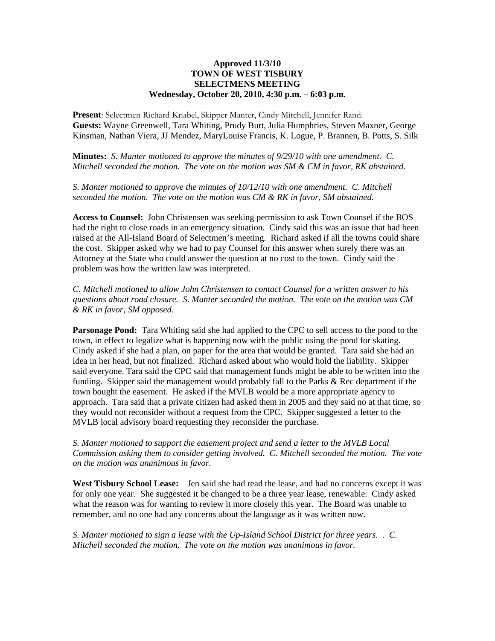## **Approved 11/3/10 TOWN OF WEST TISBURY SELECTMENS MEETING Wednesday, October 20, 2010, 4:30 p.m. – 6:03 p.m.**

**Present**: Selectmen Richard Knabel, Skipper Manter, Cindy Mitchell, Jennifer Rand. **Guests:** Wayne Greenwell, Tara Whiting, Prudy Burt, Julia Humphries, Steven Maxner, George Kinsman, Nathan Viera, JJ Mendez, MaryLouise Francis, K. Logue, P. Brannen, B. Potts, S. Silk

**Minutes:** *S. Manter motioned to approve the minutes of 9/29/10 with one amendment. C. Mitchell seconded the motion. The vote on the motion was SM & CM in favor, RK abstained.*

*S. Manter motioned to approve the minutes of 10/12/10 with one amendment. C. Mitchell seconded the motion. The vote on the motion was CM & RK in favor, SM abstained.*

**Access to Counsel:** John Christensen was seeking permission to ask Town Counsel if the BOS had the right to close roads in an emergency situation. Cindy said this was an issue that had been raised at the All-Island Board of Selectmen's meeting. Richard asked if all the towns could share the cost. Skipper asked why we had to pay Counsel for this answer when surely there was an Attorney at the State who could answer the question at no cost to the town. Cindy said the problem was how the written law was interpreted.

*C. Mitchell motioned to allow John Christensen to contact Counsel for a written answer to his questions about road closure. S. Manter seconded the motion. The vote on the motion was CM & RK in favor, SM opposed.*

**Parsonage Pond:** Tara Whiting said she had applied to the CPC to sell access to the pond to the town, in effect to legalize what is happening now with the public using the pond for skating. Cindy asked if she had a plan, on paper for the area that would be granted. Tara said she had an idea in her head, but not finalized. Richard asked about who would hold the liability. Skipper said everyone. Tara said the CPC said that management funds might be able to be written into the funding. Skipper said the management would probably fall to the Parks & Rec department if the town bought the easement. He asked if the MVLB would be a more appropriate agency to approach. Tara said that a private citizen had asked them in 2005 and they said no at that time, so they would not reconsider without a request from the CPC. Skipper suggested a letter to the MVLB local advisory board requesting they reconsider the purchase.

*S. Manter motioned to support the easement project and send a letter to the MVLB Local Commission asking them to consider getting involved. C. Mitchell seconded the motion. The vote on the motion was unanimous in favor.*

West Tisbury School Lease: Jen said she had read the lease, and had no concerns except it was for only one year. She suggested it be changed to be a three year lease, renewable. Cindy asked what the reason was for wanting to review it more closely this year. The Board was unable to remember, and no one had any concerns about the language as it was written now.

*S. Manter motioned to sign a lease with the Up-Island School District for three years. . C. Mitchell seconded the motion. The vote on the motion was unanimous in favor.*